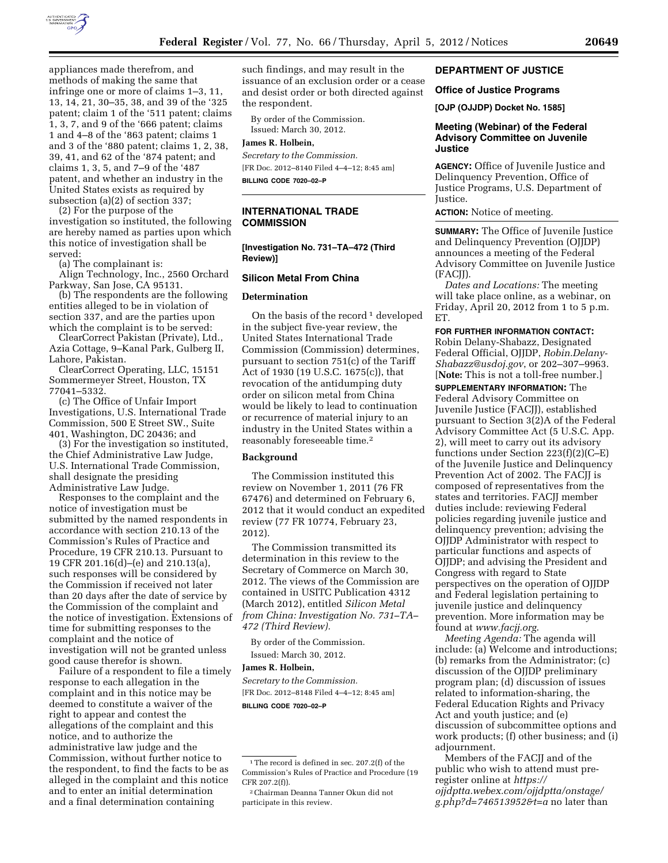

appliances made therefrom, and methods of making the same that infringe one or more of claims 1–3, 11, 13, 14, 21, 30–35, 38, and 39 of the '325 patent; claim 1 of the '511 patent; claims 1, 3, 7, and 9 of the '666 patent; claims 1 and 4–8 of the '863 patent; claims 1 and 3 of the '880 patent; claims 1, 2, 38, 39, 41, and 62 of the '874 patent; and claims 1, 3, 5, and 7–9 of the '487 patent, and whether an industry in the United States exists as required by subsection (a)(2) of section 337;

(2) For the purpose of the investigation so instituted, the following are hereby named as parties upon which this notice of investigation shall be served:

(a) The complainant is:

Align Technology, Inc., 2560 Orchard Parkway, San Jose, CA 95131.

(b) The respondents are the following entities alleged to be in violation of section 337, and are the parties upon which the complaint is to be served:

ClearCorrect Pakistan (Private), Ltd., Azia Cottage, 9–Kanal Park, Gulberg II, Lahore, Pakistan.

ClearCorrect Operating, LLC, 15151 Sommermeyer Street, Houston, TX 77041–5332.

(c) The Office of Unfair Import Investigations, U.S. International Trade Commission, 500 E Street SW., Suite 401, Washington, DC 20436; and

(3) For the investigation so instituted, the Chief Administrative Law Judge, U.S. International Trade Commission, shall designate the presiding Administrative Law Judge.

Responses to the complaint and the notice of investigation must be submitted by the named respondents in accordance with section 210.13 of the Commission's Rules of Practice and Procedure, 19 CFR 210.13. Pursuant to 19 CFR 201.16(d)–(e) and 210.13(a), such responses will be considered by the Commission if received not later than 20 days after the date of service by the Commission of the complaint and the notice of investigation. Extensions of time for submitting responses to the complaint and the notice of investigation will not be granted unless good cause therefor is shown.

Failure of a respondent to file a timely response to each allegation in the complaint and in this notice may be deemed to constitute a waiver of the right to appear and contest the allegations of the complaint and this notice, and to authorize the administrative law judge and the Commission, without further notice to the respondent, to find the facts to be as alleged in the complaint and this notice and to enter an initial determination and a final determination containing

such findings, and may result in the issuance of an exclusion order or a cease and desist order or both directed against the respondent.

By order of the Commission. Issued: March 30, 2012.

## **James R. Holbein,**

*Secretary to the Commission.*  [FR Doc. 2012–8140 Filed 4–4–12; 8:45 am] **BILLING CODE 7020–02–P** 

# **INTERNATIONAL TRADE COMMISSION**

#### **[Investigation No. 731–TA–472 (Third Review)]**

#### **Silicon Metal From China**

#### **Determination**

On the basis of the record<sup>1</sup> developed in the subject five-year review, the United States International Trade Commission (Commission) determines, pursuant to section 751(c) of the Tariff Act of 1930 (19 U.S.C. 1675(c)), that revocation of the antidumping duty order on silicon metal from China would be likely to lead to continuation or recurrence of material injury to an industry in the United States within a reasonably foreseeable time.2

#### **Background**

The Commission instituted this review on November 1, 2011 (76 FR 67476) and determined on February 6, 2012 that it would conduct an expedited review (77 FR 10774, February 23, 2012).

The Commission transmitted its determination in this review to the Secretary of Commerce on March 30, 2012. The views of the Commission are contained in USITC Publication 4312 (March 2012), entitled *Silicon Metal from China: Investigation No. 731–TA– 472 (Third Review).* 

By order of the Commission. Issued: March 30, 2012.

#### **James R. Holbein,**

*Secretary to the Commission.*  [FR Doc. 2012–8148 Filed 4–4–12; 8:45 am] **BILLING CODE 7020–02–P** 

#### **DEPARTMENT OF JUSTICE**

#### **Office of Justice Programs**

**[OJP (OJJDP) Docket No. 1585]** 

#### **Meeting (Webinar) of the Federal Advisory Committee on Juvenile Justice**

**AGENCY:** Office of Juvenile Justice and Delinquency Prevention, Office of Justice Programs, U.S. Department of Justice.

**ACTION:** Notice of meeting.

**SUMMARY:** The Office of Juvenile Justice and Delinquency Prevention (OJJDP) announces a meeting of the Federal Advisory Committee on Juvenile Justice (FACJJ).

*Dates and Locations:* The meeting will take place online, as a webinar, on Friday, April 20, 2012 from 1 to 5 p.m. ET.

### **FOR FURTHER INFORMATION CONTACT:**

Robin Delany-Shabazz, Designated Federal Official, OJJDP, *[Robin.Delany-](mailto:Robin.Delany-Shabazz@usdoj.gov)[Shabazz@usdoj.gov](mailto:Robin.Delany-Shabazz@usdoj.gov)*, or 202–307–9963. [**Note:** This is not a toll-free number.]

**SUPPLEMENTARY INFORMATION:** The Federal Advisory Committee on Juvenile Justice (FACJJ), established pursuant to Section 3(2)A of the Federal Advisory Committee Act (5 U.S.C. App. 2), will meet to carry out its advisory functions under Section 223(f)(2)(C–E) of the Juvenile Justice and Delinquency Prevention Act of 2002. The FACJJ is composed of representatives from the states and territories. FACJJ member duties include: reviewing Federal policies regarding juvenile justice and delinquency prevention; advising the OJJDP Administrator with respect to particular functions and aspects of OJJDP; and advising the President and Congress with regard to State perspectives on the operation of OJJDP and Federal legislation pertaining to juvenile justice and delinquency prevention. More information may be found at *[www.facjj.org](http://www.facjj.org)*.

*Meeting Agenda:* The agenda will include: (a) Welcome and introductions; (b) remarks from the Administrator; (c) discussion of the OJJDP preliminary program plan; (d) discussion of issues related to information-sharing, the Federal Education Rights and Privacy Act and youth justice; and (e) discussion of subcommittee options and work products; (f) other business; and (i) adjournment.

Members of the FACJJ and of the public who wish to attend must preregister online at *[https://](https://ojjdptta.webex.com/ojjdptta/onstage/g.php?d=746513952&t=a) [ojjdptta.webex.com/ojjdptta/onstage/](https://ojjdptta.webex.com/ojjdptta/onstage/g.php?d=746513952&t=a) [g.php?d=746513952&t=a](https://ojjdptta.webex.com/ojjdptta/onstage/g.php?d=746513952&t=a)* no later than

<sup>&</sup>lt;sup>1</sup>The record is defined in sec. 207.2(f) of the Commission's Rules of Practice and Procedure (19 CFR 207.2(f)).

<sup>2</sup>Chairman Deanna Tanner Okun did not participate in this review.